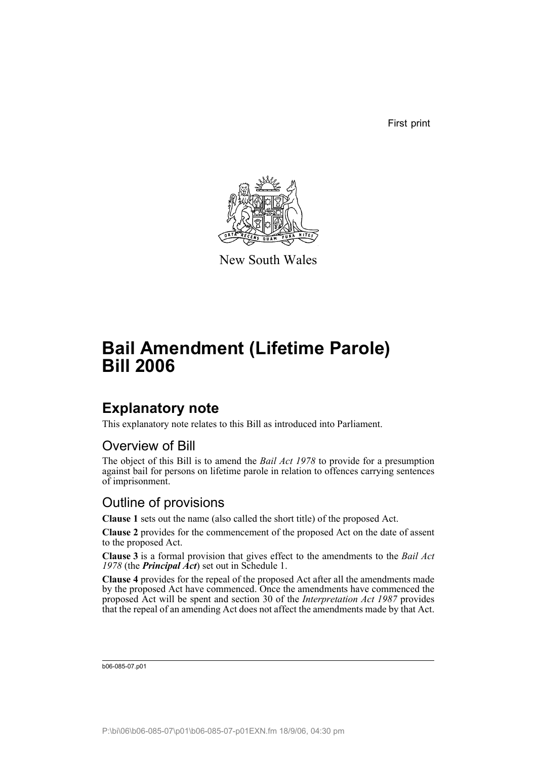First print



New South Wales

# **Bail Amendment (Lifetime Parole) Bill 2006**

## **Explanatory note**

This explanatory note relates to this Bill as introduced into Parliament.

### Overview of Bill

The object of this Bill is to amend the *Bail Act 1978* to provide for a presumption against bail for persons on lifetime parole in relation to offences carrying sentences of imprisonment.

### Outline of provisions

**Clause 1** sets out the name (also called the short title) of the proposed Act.

**Clause 2** provides for the commencement of the proposed Act on the date of assent to the proposed Act.

**Clause 3** is a formal provision that gives effect to the amendments to the *Bail Act 1978* (the *Principal Act*) set out in Schedule 1.

**Clause 4** provides for the repeal of the proposed Act after all the amendments made by the proposed Act have commenced. Once the amendments have commenced the proposed Act will be spent and section 30 of the *Interpretation Act 1987* provides that the repeal of an amending Act does not affect the amendments made by that Act.

b06-085-07.p01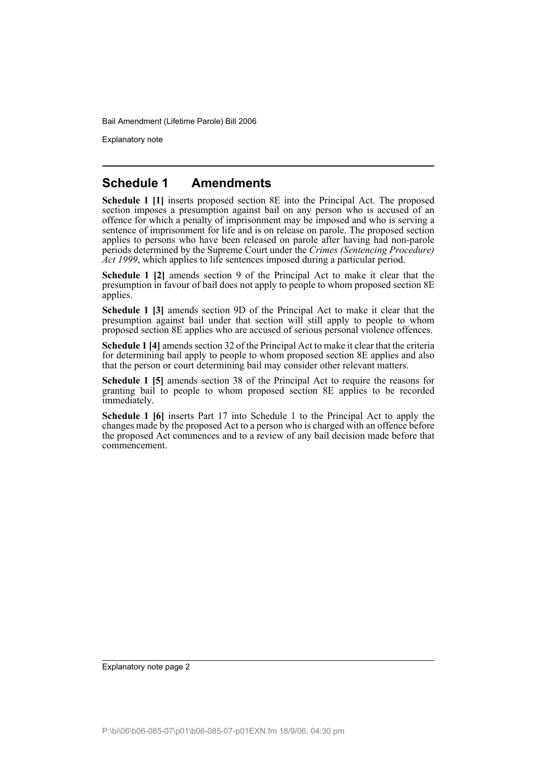Explanatory note

#### **Schedule 1 Amendments**

**Schedule 1 [1]** inserts proposed section 8E into the Principal Act. The proposed section imposes a presumption against bail on any person who is accused of an offence for which a penalty of imprisonment may be imposed and who is serving a sentence of imprisonment for life and is on release on parole. The proposed section applies to persons who have been released on parole after having had non-parole periods determined by the Supreme Court under the *Crimes (Sentencing Procedure) Act 1999*, which applies to life sentences imposed during a particular period.

**Schedule 1 [2]** amends section 9 of the Principal Act to make it clear that the presumption in favour of bail does not apply to people to whom proposed section 8E applies.

**Schedule 1 [3]** amends section 9D of the Principal Act to make it clear that the presumption against bail under that section will still apply to people to whom proposed section 8E applies who are accused of serious personal violence offences.

**Schedule 1 [4]** amends section 32 of the Principal Act to make it clear that the criteria for determining bail apply to people to whom proposed section 8E applies and also that the person or court determining bail may consider other relevant matters.

**Schedule 1 [5]** amends section 38 of the Principal Act to require the reasons for granting bail to people to whom proposed section 8E applies to be recorded immediately.

**Schedule 1 [6]** inserts Part 17 into Schedule 1 to the Principal Act to apply the changes made by the proposed Act to a person who is charged with an offence before the proposed Act commences and to a review of any bail decision made before that commencement.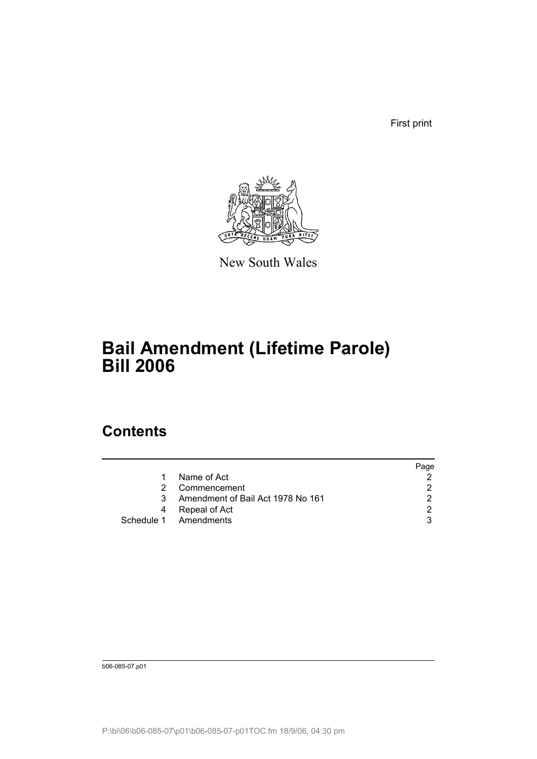First print



New South Wales

# **Bail Amendment (Lifetime Parole) Bill 2006**

## **Contents**

|    |                                   | Page          |
|----|-----------------------------------|---------------|
| 1. | Name of Act                       |               |
| 2. | Commencement                      | 2             |
| 3  | Amendment of Bail Act 1978 No 161 | 2             |
| 4  | Repeal of Act                     | $\mathcal{D}$ |
|    | Schedule 1 Amendments             | 3             |

b06-085-07.p01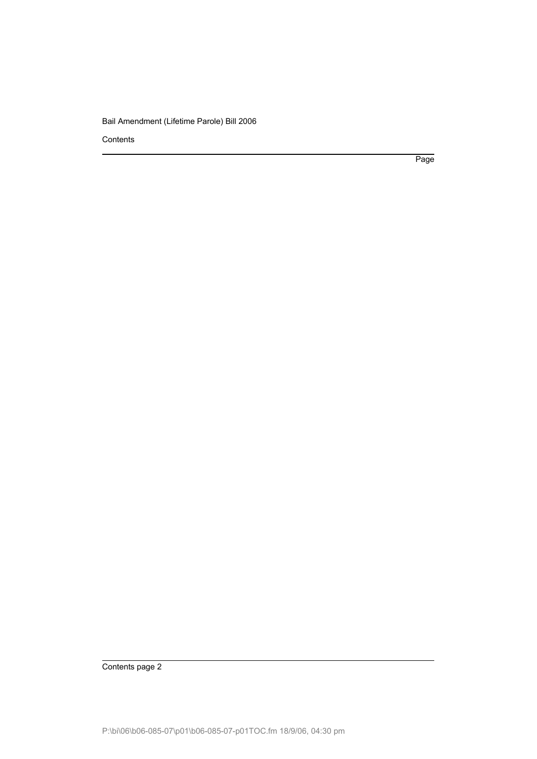Contents

Page

Contents page 2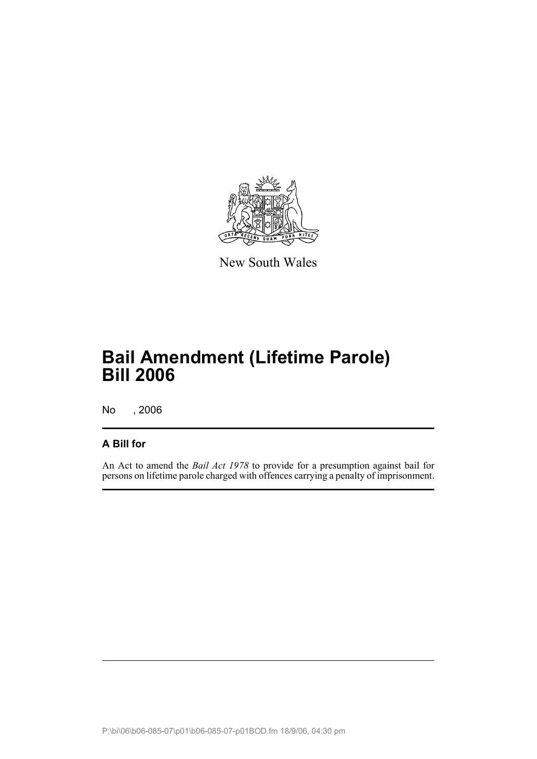

New South Wales

# **Bail Amendment (Lifetime Parole) Bill 2006**

No , 2006

#### **A Bill for**

An Act to amend the *Bail Act 1978* to provide for a presumption against bail for persons on lifetime parole charged with offences carrying a penalty of imprisonment.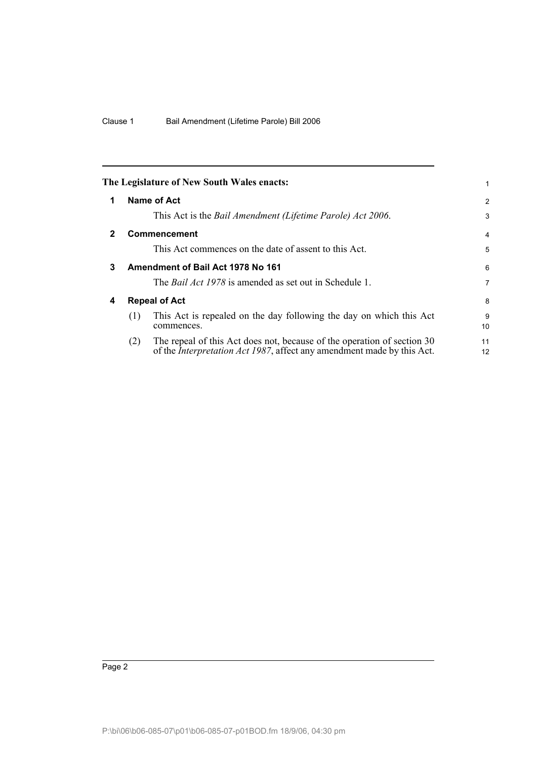<span id="page-5-3"></span><span id="page-5-2"></span><span id="page-5-1"></span><span id="page-5-0"></span>

|                                   |                                                                                                                                                           | 1                                                                |
|-----------------------------------|-----------------------------------------------------------------------------------------------------------------------------------------------------------|------------------------------------------------------------------|
|                                   |                                                                                                                                                           | 2                                                                |
|                                   | This Act is the Bail Amendment (Lifetime Parole) Act 2006.                                                                                                | 3                                                                |
| <b>Commencement</b>               |                                                                                                                                                           | 4                                                                |
|                                   | This Act commences on the date of assent to this Act.                                                                                                     | 5                                                                |
| Amendment of Bail Act 1978 No 161 |                                                                                                                                                           | 6                                                                |
|                                   | The <i>Bail Act 1978</i> is amended as set out in Schedule 1.                                                                                             | 7                                                                |
| <b>Repeal of Act</b>              |                                                                                                                                                           | 8                                                                |
| (1)                               | This Act is repealed on the day following the day on which this Act<br>commences.                                                                         | 9<br>10                                                          |
| (2)                               | The repeal of this Act does not, because of the operation of section 30<br>of the <i>Interpretation Act 1987</i> , affect any amendment made by this Act. | 11<br>12                                                         |
|                                   |                                                                                                                                                           | The Legislature of New South Wales enacts:<br><b>Name of Act</b> |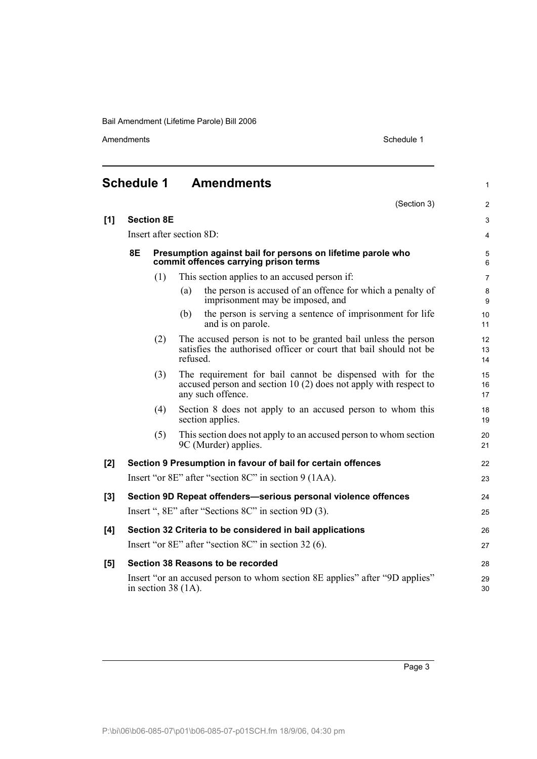Amendments Schedule 1

<span id="page-6-0"></span>

| <b>Schedule 1</b> |                   |     | <b>Amendments</b>                                                                                                                                    | $\mathbf{1}$   |
|-------------------|-------------------|-----|------------------------------------------------------------------------------------------------------------------------------------------------------|----------------|
|                   |                   |     | (Section 3)                                                                                                                                          | $\overline{2}$ |
| [1]               | <b>Section 8E</b> |     |                                                                                                                                                      | $\mathfrak{S}$ |
|                   |                   |     | Insert after section 8D:                                                                                                                             | 4              |
|                   | <b>8E</b>         |     | Presumption against bail for persons on lifetime parole who<br>commit offences carrying prison terms                                                 | 5<br>6         |
|                   |                   | (1) | This section applies to an accused person if:                                                                                                        | $\overline{7}$ |
|                   |                   |     | the person is accused of an offence for which a penalty of<br>(a)<br>imprisonment may be imposed, and                                                | $\bf 8$<br>9   |
|                   |                   |     | the person is serving a sentence of imprisonment for life<br>(b)<br>and is on parole.                                                                | 10<br>11       |
|                   |                   | (2) | The accused person is not to be granted bail unless the person<br>satisfies the authorised officer or court that bail should not be<br>refused.      | 12<br>13<br>14 |
|                   |                   | (3) | The requirement for bail cannot be dispensed with for the<br>accused person and section 10 $(2)$ does not apply with respect to<br>any such offence. | 15<br>16<br>17 |
|                   |                   | (4) | Section 8 does not apply to an accused person to whom this<br>section applies.                                                                       | 18<br>19       |
|                   |                   | (5) | This section does not apply to an accused person to whom section<br>9C (Murder) applies.                                                             | 20<br>21       |
| [2]               |                   |     | Section 9 Presumption in favour of bail for certain offences                                                                                         | 22             |
|                   |                   |     | Insert "or 8E" after "section 8C" in section 9 (1AA).                                                                                                | 23             |
| [3]               |                   |     | Section 9D Repeat offenders-serious personal violence offences                                                                                       | 24             |
|                   |                   |     | Insert ", 8E" after "Sections 8C" in section 9D (3).                                                                                                 | 25             |
| [4]               |                   |     | Section 32 Criteria to be considered in bail applications                                                                                            | 26             |
|                   |                   |     | Insert "or 8E" after "section 8C" in section 32 (6).                                                                                                 | 27             |
| [5]               |                   |     | Section 38 Reasons to be recorded                                                                                                                    | 28             |
|                   |                   |     | Insert "or an accused person to whom section 8E applies" after "9D applies"<br>in section $38(1A)$ .                                                 | 29<br>30       |